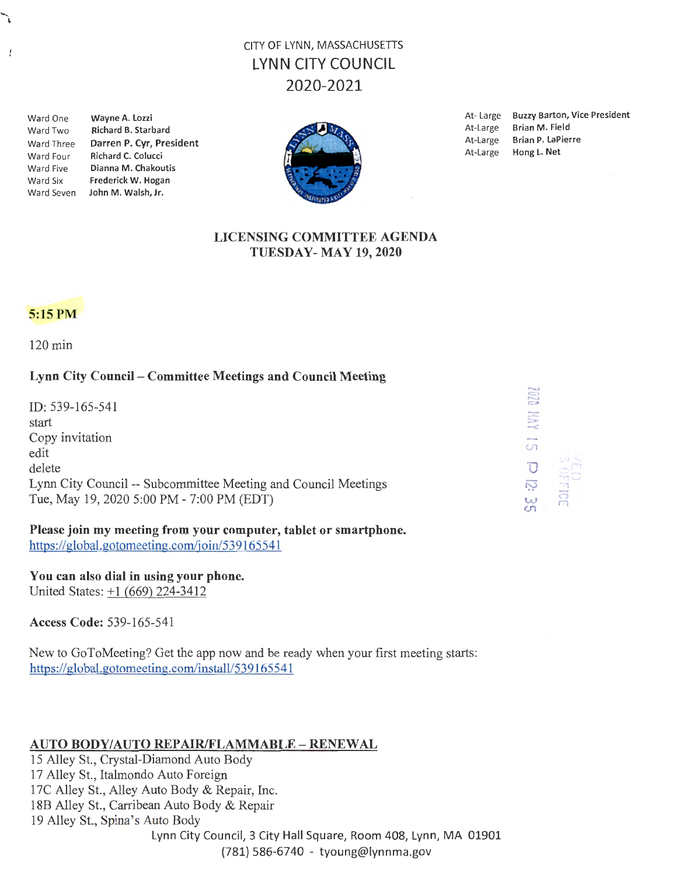# CITY OF LYNN, MASSACHUSETTS LYNN CITY COUNCIL 2020-2021

Ward One Wayne A. Lozzi

J

Ward Two Richard B. Starbard Ward Three Darren P. Cyr, President Ward Four Richard C. Colucci Ward Five Dianna M. Chakoutis Ward Six Frederick W. Hogan Ward Seven John M. Walsh, Jr.



At- Large Buzzy Barton, Vice President At-Large Brian M. Field At-Large Brian P. LaPierre At-Large Hong L. Net

#### LICENSING COMMITTEE AGENDA TUESDAY- MAY 19, 2020



120 min

### Lynn City Council - Committee Meetings and Council Meeting

ID: 539-165-541 start Copy invitation edit delete Lynn City Council -- Subcommittee Meeting and Council Meetings Tue, May 19, 2020 5:00 PM - 7:00 PM (EDT)

Please join my meeting from your computer, tablet or smartphone. https://global.gotomeeting.com/join/539165541

You can also dial in using your phone. United States: +1 (669) 224-3412

Access Code: 539-165-541

New to GoToMeeting? Get the app now and be ready when your first meeting starts: https://global.gotomeeting.com/install/539165541

## AUTO BODY/AUTO REPAIR/FLAMMABLE- RENEWAL

15 Alley St., Crystal-Diamond Auto Body 17 Alley St., Italmondo Auto Foreign 17C Alley St., Alley Auto Body & Repair, Inc. 18B Alley St., Carribean Auto Body & Repair 19 Alley St., Spina's Auto Body Lynn City Council, 3 City Hall Square, Room 408, Lynn, MA 01901 {781) 586-6740 - tyoung@lynnma.gov

 $.019$ :"' -<  $\cup$  $\overline{O}$  $\overline{v}$  $\omega$   $\mathbb{G}$  $\frac{m}{n}$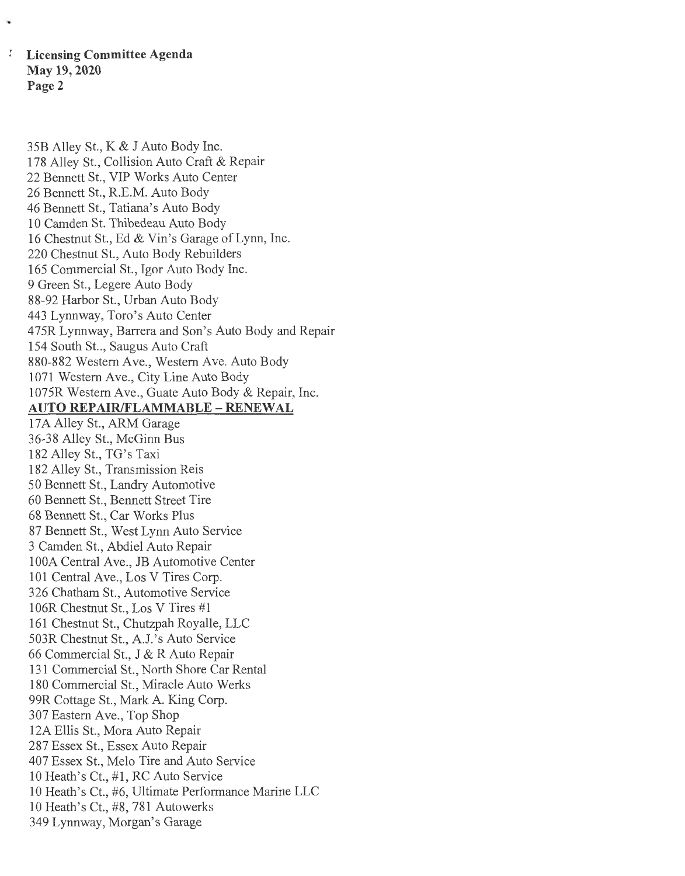I **Licensing Committee Agenda May 19, 2020 Page2** 

35B Alley St., K & J Auto Body Inc.

178 Alley St., Collision Auto Craft & Repair 22 Bennett St., VIP Works Auto Center 26 Bennett St., R.E.M. Auto Body 46 Bennett St., Tatiana's Auto Body 10 Camden St. Thibedeau Auto Body 16 Chestnut St., Ed & Vin's Garage of Lynn, Inc. 220 Chestnut St., Auto Body Rebuilders 165 Commercial St., Igor Auto Body Inc. 9 Green St., Legere Auto Body 88-92 Harbor St., Urban Auto Body 443 Lynnway, Toro's Auto Center 475R Lynnway, Barrera and Son's Auto Body and Repair 154 South St.., Saugus Auto Craft 880-882 Western Ave., Western Ave. Auto Body 1071 Western Ave., City Line Auto Body 1075R Western Ave., Guate Auto Body & Repair, Inc. **AUTO REPAIR/FLAMMABLE - RENEW AL**  17A Alley St., ARM Garage 36-38 Alley St., McGinn Bus 182 Alley St., TG's Taxi 182 Alley St., Transmission Reis 50 Bennett St., Landry Automotive 60 Bennett St., Bennett Street Tire 68 Bennett St., Car Works Plus 87 Bennett St., West Lynn Auto Service 3 Camden St., Abdiel Auto Repair lOOA Central Ave., JB Automotive Center 101 Central Ave., Los V Tires Corp. 326 Chatham St., Automotive Service 106R Chestnut St., Los V Tires #1 161 Chestnut St., Chutzpah Royalle, LLC 503R Chestnut St., A.l's Auto Service 66 Commercial St., J & R Auto Repair 131 Commercial St., North Shore Car Rental 180 Commercial St., Miracle Auto Werks 99R Cottage St., Mark A. King Corp. 307 Eastern Ave., Top Shop 12A Ellis St., Mora Auto Repair 287 Essex St., Essex Auto Repair 407 Essex St., Melo Tire and Auto Service 10 Heath's Ct., #1, RC Auto Service 10 Heath's Ct., #6, Ultimate Performance Marine LLC 10 Heath's Ct., #8, 781 Autowerks 349 Lynnway, Morgan's Garage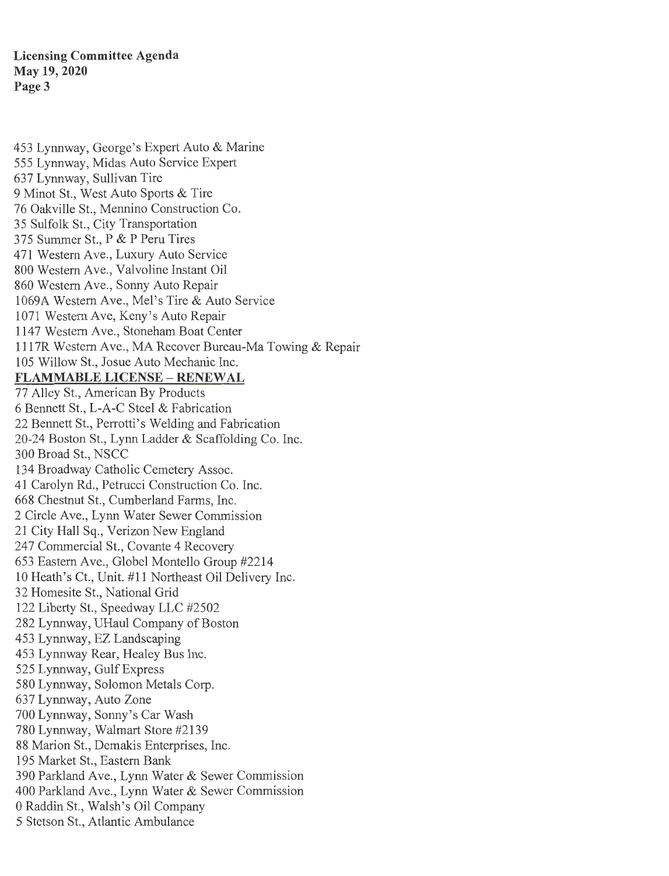**Licensing Committee Agenda May 19, 2020 Page3** 

453 Lynnway, George's Expert Auto & Marine 555 Lynnway, Midas Auto Service Expert 637 Lynnway, Sullivan Tire 9 Minot St., West Auto Sports & Tire 76 Oakville St., Mennino Construction Co. 35 Sulfolk St., City Transportation 375 Summer St., P & P Peru Tires 471 Western Ave., Luxury Auto Service 800 Western Ave., Valvoline Instant Oil 860 Western Ave., Sonny Auto Repair 1069A Western Ave., Mel's Tire & Auto Service 1071 Western Ave, Keny's Auto Repair 1147 Western Ave., Stoneham Boat Center 1117R Western Ave., MA Recover Bureau-Ma Towing & Repair 105 Willow St., Josue Auto Mechanic Inc. **FLAMMABLE LICENSE - RENEW AL**  77 Alley St., American By Products 6 Bennett St., L-A-C Steel & Fabrication 22 Bennett St., Perrotti's Welding and Fabrication 20-24 Boston St., Lynn Ladder & Scaffolding Co. Inc. 300 Broad St., NSCC 134 Broadway Catholic Cemetery Assoc. 41 Carolyn Rd., Petrucci Construction Co. Inc. 668 Chestnut St., Cumberland Farms, Inc. 2 Circle Ave., Lynn Water Sewer Commission 21 City Hall Sq., Verizon New England 247 Commercial St., Covante 4 Recovery 653 Eastern Ave., Globel Montello Group #2214 10 Heath's Ct., Unit. #11 Northeast Oil Delivery Inc. 32 Homesite St., National Grid 122 Liberty St., Speedway LLC #2502 282 Lynnway, UHaul Company of Boston 453 Lynnway, EZ Landscaping

453 Lynnway Rear, Healey Bus Inc.

525 Lynnway, Gulf Express

580 Lynnway, Solomon Metals Corp.

637 Lynnway, Auto Zone

700 Lynnway, Sonny's Car Wash

780 Lynnway, Walmart Store #2139

88 Marion St., Demakis Enterprises, Inc.

195 Market St., Eastern Bank

390 Parkland Ave., Lynn Water & Sewer Commission

400 Parkland Ave., Lynn Water & Sewer Commission

0 Raddin St., Walsh's Oil Company

5 Stetson St., Atlantic Ambulance